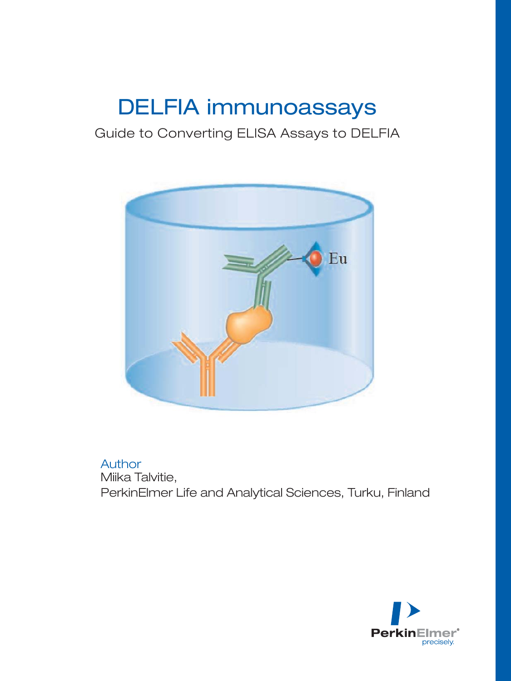# DELFIA immunoassays

# Guide to Converting ELISA Assays to DELFIA



# Author

Miika Talvitie, PerkinElmer Life and Analytical Sciences, Turku, Finland

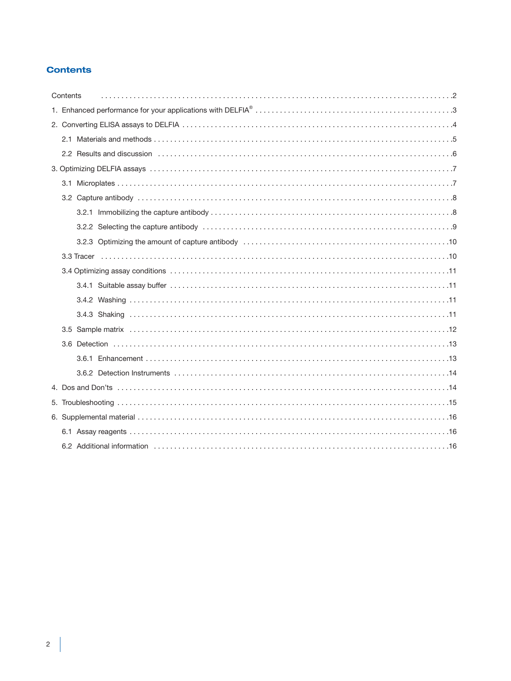# **Contents**

| Contents |  |
|----------|--|
|          |  |
|          |  |
|          |  |
|          |  |
|          |  |
|          |  |
|          |  |
|          |  |
|          |  |
|          |  |
|          |  |
|          |  |
|          |  |
|          |  |
|          |  |
|          |  |
|          |  |
|          |  |
|          |  |
|          |  |
|          |  |
|          |  |
|          |  |
|          |  |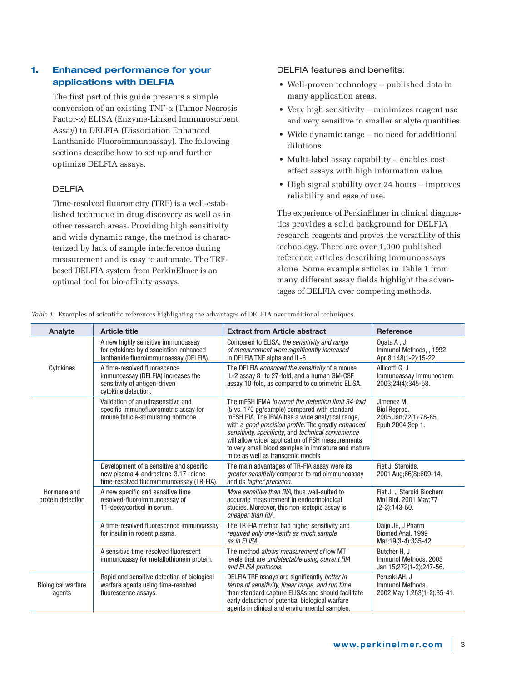# **1. Enhanced performance for your applications with DELFIA**

The first part of this guide presents a simple  $conversion$  of an existing TNF- $\alpha$  (Tumor Necrosis Factor-α) ELISA (Enzyme-Linked Immunosorbent Assay) to DELFIA (Dissociation Enhanced Lanthanide Fluoroimmunoassay). The following sections describe how to set up and further optimize DELFIA assays.

# DELFIA

Time-resolved fluorometry (TRF) is a well-established technique in drug discovery as well as in other research areas. Providing high sensitivity and wide dynamic range, the method is characterized by lack of sample interference during measurement and is easy to automate. The TRFbased DELFIA system from PerkinElmer is an optimal tool for bio-affinity assays.

# DELFIA features and benefits:

- Well-proven technology published data in many application areas.
- Very high sensitivity minimizes reagent use and very sensitive to smaller analyte quantities.
- Wide dynamic range no need for additional dilutions.
- Multi-label assay capability enables costeffect assays with high information value.
- High signal stability over 24 hours improves reliability and ease of use.

The experience of PerkinElmer in clinical diagnostics provides a solid background for DELFIA research reagents and proves the versatility of this technology. There are over 1,000 published reference articles describing immunoassays alone. Some example articles in Table 1 from many different assay fields highlight the advantages of DELFIA over competing methods.

| Analyte                             | <b>Article title</b>                                                                                                        | <b>Extract from Article abstract</b>                                                                                                                                                                                                                                                                                                                                                                              | <b>Reference</b>                                                                 |
|-------------------------------------|-----------------------------------------------------------------------------------------------------------------------------|-------------------------------------------------------------------------------------------------------------------------------------------------------------------------------------------------------------------------------------------------------------------------------------------------------------------------------------------------------------------------------------------------------------------|----------------------------------------------------------------------------------|
|                                     | A new highly sensitive immunoassay<br>for cytokines by dissociation-enhanced<br>lanthanide fluoroimmunoassay (DELFIA).      | Compared to ELISA, the sensitivity and range<br>of measurement were significantly increased<br>in DELFIA TNF alpha and IL-6.                                                                                                                                                                                                                                                                                      | Ogata A, J<br>Immunol Methods, , 1992<br>Apr 8;148(1-2):15-22.                   |
| Cytokines                           | A time-resolved fluorescence<br>immunoassay (DELFIA) increases the<br>sensitivity of antigen-driven<br>cytokine detection.  | The DELFIA enhanced the sensitivity of a mouse<br>IL-2 assay 8- to 27-fold, and a human GM-CSF<br>assay 10-fold, as compared to colorimetric ELISA.                                                                                                                                                                                                                                                               | Allicotti G. J<br>Immunoassay Immunochem.<br>2003;24(4):345-58.                  |
|                                     | Validation of an ultrasensitive and<br>specific immunofluorometric assay for<br>mouse follicle-stimulating hormone.         | The mFSH IFMA lowered the detection limit 34-fold<br>(5 vs. 170 pg/sample) compared with standard<br>mFSH RIA. The IFMA has a wide analytical range,<br>with a good precision profile. The greatly enhanced<br>sensitivity, specificity, and technical convenience<br>will allow wider application of FSH measurements<br>to very small blood samples in immature and mature<br>mice as well as transgenic models | Jimenez M.<br><b>Biol Reprod.</b><br>2005 Jan; 72(1): 78-85.<br>Epub 2004 Sep 1. |
|                                     | Development of a sensitive and specific<br>new plasma 4-androstene-3.17- dione<br>time-resolved fluoroimmunoassay (TR-FIA). | The main advantages of TR-FIA assay were its<br><i>greater sensitivity</i> compared to radioimmunoassay<br>and its <i>higher precision</i> .                                                                                                                                                                                                                                                                      | Fiet J. Steroids.<br>2001 Aug;66(8):609-14.                                      |
| Hormone and<br>protein detection    | A new specific and sensitive time<br>resolved-fluoroimmunoassay of<br>11-deoxycortisol in serum.                            | More sensitive than RIA, thus well-suited to<br>accurate measurement in endocrinological<br>studies. Moreover, this non-isotopic assay is<br>cheaper than RIA.                                                                                                                                                                                                                                                    | Fiet J, J Steroid Biochem<br>Mol Biol. 2001 May: 77<br>$(2-3):143-50.$           |
|                                     | A time-resolved fluorescence immunoassay<br>for insulin in rodent plasma.                                                   | The TR-FIA method had higher sensitivity and<br>required only one-tenth as much sample<br>as in ELISA.                                                                                                                                                                                                                                                                                                            | Daijo JE, J Pharm<br>Biomed Anal, 1999<br>Mar; 19(3-4): 335-42.                  |
|                                     | A sensitive time-resolved fluorescent<br>immunoassay for metallothionein protein.                                           | The method allows measurement of low MT<br>levels that are undetectable using current RIA<br>and ELISA protocols.                                                                                                                                                                                                                                                                                                 | Butcher H, J<br>Immunol Methods, 2003<br>Jan 15;272(1-2):247-56.                 |
| <b>Biological warfare</b><br>agents | Rapid and sensitive detection of biological<br>warfare agents using time-resolved<br>fluorescence assays.                   | DELFIA TRF assays are significantly better in<br>terms of sensitivity, linear range, and run time<br>than standard capture ELISAs and should facilitate<br>early detection of potential biological warfare<br>agents in clinical and environmental samples.                                                                                                                                                       | Peruski AH, J<br>Immunol Methods.<br>2002 May 1;263(1-2):35-41.                  |

*Table 1.* Examples of scientific references highlighting the advantages of DELFIA over traditional techniques.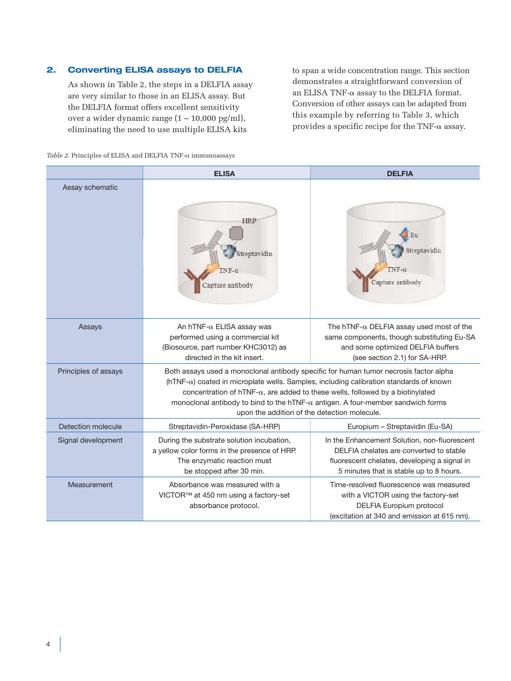# **2. Converting ELISA assays to DELFIA**

As shown in Table 2, the steps in a DELFIA assay are very similar to those in an ELISA assay. But the DELFIA format offers excellent sensitivity over a wider dynamic range  $(1 - 10,000 \text{ pg/ml})$ , eliminating the need to use multiple ELISA kits

to span a wide concentration range. This section demonstrates a straightforward conversion of an ELISA TNF- $\alpha$  assay to the DELFIA format. Conversion of other assays can be adapted from this example by referring to Table 3, which provides a specific recipe for the TNF- $\alpha$  assay.

|  |  | Table 2. Principles of ELISA and DELFIA TNF- $\alpha$ immunoassays |
|--|--|--------------------------------------------------------------------|
|  |  |                                                                    |

|                      | <b>ELISA</b>                                                                                                                                                                                                                                                                                                                                                                                                                | <b>DELFIA</b>                                                                                                                                                                      |
|----------------------|-----------------------------------------------------------------------------------------------------------------------------------------------------------------------------------------------------------------------------------------------------------------------------------------------------------------------------------------------------------------------------------------------------------------------------|------------------------------------------------------------------------------------------------------------------------------------------------------------------------------------|
| Assay schematic      | <b>HRP</b><br>treptavidin<br>$NF-0$<br>Capture antibody                                                                                                                                                                                                                                                                                                                                                                     | Eu<br>Streptavidin<br>Capture antibody                                                                                                                                             |
| Assays               | An hTNF- $\alpha$ ELISA assay was<br>performed using a commercial kit<br>(Biosource, part number KHC3012) as<br>directed in the kit insert.                                                                                                                                                                                                                                                                                 | The hTNF- $\alpha$ DELFIA assay used most of the<br>same components, though substituting Eu-SA<br>and some optimized DELFIA buffers<br>(see section 2.1) for SA-HRP.               |
| Principles of assays | Both assays used a monoclonal antibody specific for human tumor necrosis factor alpha<br>$(hTNF-\alpha)$ coated in microplate wells. Samples, including calibration standards of known<br>concentration of hTNF- $\alpha$ , are added to these wells, followed by a biotinylated<br>monoclonal antibody to bind to the hTNF- $\alpha$ antigen. A four-member sandwich forms<br>upon the addition of the detection molecule. |                                                                                                                                                                                    |
| Detection molecule   | Streptavidin-Peroxidase (SA-HRP)                                                                                                                                                                                                                                                                                                                                                                                            | Europium - Streptavidin (Eu-SA)                                                                                                                                                    |
| Signal development   | During the substrate solution incubation,<br>a yellow color forms in the presence of HRP.<br>The enzymatic reaction must<br>be stopped after 30 min.                                                                                                                                                                                                                                                                        | In the Enhancement Solution, non-fluorescent<br>DELFIA chelates are converted to stable<br>fluorescent chelates, developing a signal in<br>5 minutes that is stable up to 8 hours. |
| Measurement          | Absorbance was measured with a<br>VICTOR™ at 450 nm using a factory-set<br>absorbance protocol.                                                                                                                                                                                                                                                                                                                             | Time-resolved fluorescence was measured<br>with a VICTOR using the factory-set<br>DELFIA Europium protocol<br>(excitation at 340 and emission at 615 nm).                          |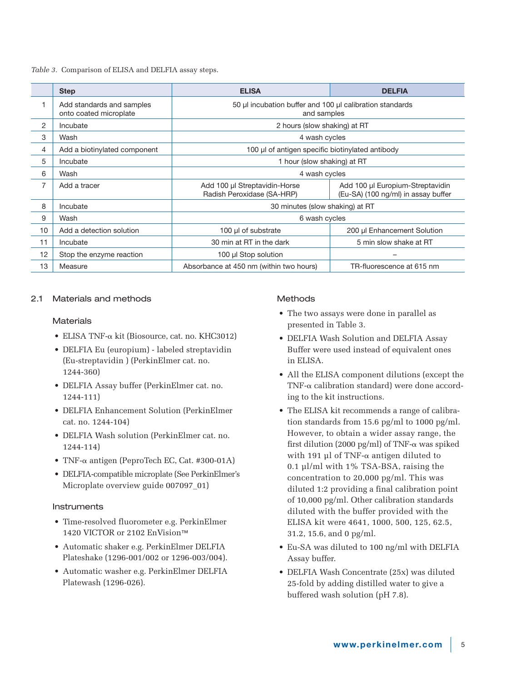*Table 3.* Comparison of ELISA and DELFIA assay steps.

|    | <b>Step</b>                                         | <b>ELISA</b>                                                | <b>DELFIA</b>                                                           |  |  |  |
|----|-----------------------------------------------------|-------------------------------------------------------------|-------------------------------------------------------------------------|--|--|--|
|    | Add standards and samples<br>onto coated microplate |                                                             | 50 µl incubation buffer and 100 µl calibration standards<br>and samples |  |  |  |
| 2  | Incubate                                            | 2 hours (slow shaking) at RT                                |                                                                         |  |  |  |
| 3  | Wash                                                | 4 wash cycles                                               |                                                                         |  |  |  |
| 4  | Add a biotinylated component                        | 100 µl of antigen specific biotinylated antibody            |                                                                         |  |  |  |
| 5  | Incubate                                            |                                                             | 1 hour (slow shaking) at RT                                             |  |  |  |
| 6  | Wash                                                | 4 wash cycles                                               |                                                                         |  |  |  |
| 7  | Add a tracer                                        | Add 100 µl Streptavidin-Horse<br>Radish Peroxidase (SA-HRP) | Add 100 µl Europium-Streptavidin<br>(Eu-SA) (100 ng/ml) in assay buffer |  |  |  |
| 8  | Incubate                                            | 30 minutes (slow shaking) at RT                             |                                                                         |  |  |  |
| 9  | Wash                                                | 6 wash cycles                                               |                                                                         |  |  |  |
| 10 | Add a detection solution                            | 100 µl of substrate                                         | 200 µl Enhancement Solution                                             |  |  |  |
| 11 | Incubate                                            | 30 min at RT in the dark                                    | 5 min slow shake at RT                                                  |  |  |  |
| 12 | Stop the enzyme reaction                            | 100 µl Stop solution                                        |                                                                         |  |  |  |
| 13 | Measure                                             | Absorbance at 450 nm (within two hours)                     | TR-fluorescence at 615 nm                                               |  |  |  |

# 2.1 Materials and methods

### **Materials**

- $\bullet$  ELISA TNF- $\alpha$  kit (Biosource, cat. no. KHC3012)
- DELFIA Eu (europium) labeled streptavidin (Eu-streptavidin ) (PerkinElmer cat. no. 1244-360)
- DELFIA Assay buffer (PerkinElmer cat. no. 1244-111)
- DELFIA Enhancement Solution (PerkinElmer cat. no. 1244-104)
- DELFIA Wash solution (PerkinElmer cat. no. 1244-114)
- TNF- $\alpha$  antigen (PeproTech EC, Cat. #300-01A)
- DELFIA-compatible microplate (See PerkinElmer's Microplate overview guide 007097\_01)

# Instruments

- Time-resolved fluorometer e.g. PerkinElmer 1420 VICTOR or 2102 EnVision™
- Automatic shaker e.g. PerkinElmer DELFIA Plateshake (1296-001/002 or 1296-003/004).
- Automatic washer e.g. PerkinElmer DELFIA Platewash (1296-026).

# **Methods**

- The two assays were done in parallel as presented in Table 3.
- DELFIA Wash Solution and DELFIA Assay Buffer were used instead of equivalent ones in ELISA.
- All the ELISA component dilutions (except the  $\text{TNF-}\alpha$  calibration standard) were done according to the kit instructions.
- The ELISA kit recommends a range of calibration standards from 15.6 pg/ml to 1000 pg/ml. However, to obtain a wider assay range, the first dilution (2000 pg/ml) of TNF- $\alpha$  was spiked with 191  $\mu$ l of TNF- $\alpha$  antigen diluted to 0.1 µl/ml with 1% TSA-BSA, raising the concentration to 20,000 pg/ml. This was diluted 1:2 providing a final calibration point of 10,000 pg/ml. Other calibration standards diluted with the buffer provided with the ELISA kit were 4641, 1000, 500, 125, 62.5, 31.2, 15.6, and 0 pg/ml.
- Eu-SA was diluted to 100 ng/ml with DELFIA Assay buffer.
- DELFIA Wash Concentrate (25x) was diluted 25-fold by adding distilled water to give a buffered wash solution (pH 7.8).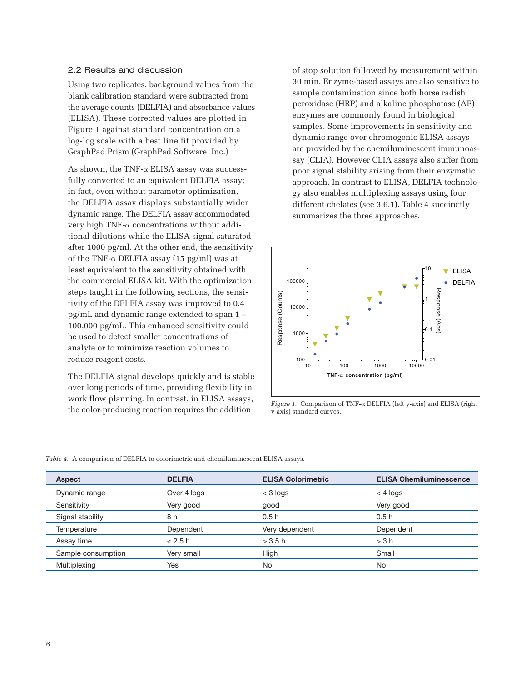#### 2.2 Results and discussion

Using two replicates, background values from the blank calibration standard were subtracted from the average counts (DELFIA) and absorbance values (ELISA). These corrected values are plotted in Figure 1 against standard concentration on a log-log scale with a best line fit provided by GraphPad Prism (GraphPad Software, Inc.)

As shown, the TNF- $\alpha$  ELISA assay was successfully converted to an equivalent DELFIA assay; in fact, even without parameter optimization, the DELFIA assay displays substantially wider dynamic range. The DELFIA assay accommodated very high TNF- $\alpha$  concentrations without additional dilutions while the ELISA signal saturated after 1000 pg/ml. At the other end, the sensitivity of the TNF- $\alpha$  DELFIA assay (15 pg/ml) was at least equivalent to the sensitivity obtained with the commercial ELISA kit. With the optimization steps taught in the following sections, the sensitivity of the DELFIA assay was improved to 0.4 pg/mL and dynamic range extended to span 1 – 100,000 pg/mL. This enhanced sensitivity could be used to detect smaller concentrations of analyte or to minimize reaction volumes to reduce reagent costs.

The DELFIA signal develops quickly and is stable over long periods of time, providing flexibility in work flow planning. In contrast, in ELISA assays, the color-producing reaction requires the addition

of stop solution followed by measurement within 30 min. Enzyme-based assays are also sensitive to sample contamination since both horse radish peroxidase (HRP) and alkaline phosphatase (AP) enzymes are commonly found in biological samples. Some improvements in sensitivity and dynamic range over chromogenic ELISA assays are provided by the chemiluminescent immunoassay (CLIA). However CLIA assays also suffer from poor signal stability arising from their enzymatic approach. In contrast to ELISA, DELFIA technology also enables multiplexing assays using four different chelates (see 3.6.1). Table 4 succinctly summarizes the three approaches.



*Figure 1*. Comparison of TNF-α DELFIA (left y-axis) and ELISA (right y-axis) standard curves.

| <i>Table 4.</i> A comparison of DELFIA to colorimetric and chemiluminescent ELISA assays. |  |
|-------------------------------------------------------------------------------------------|--|
|-------------------------------------------------------------------------------------------|--|

| Aspect             | <b>DELFIA</b> | <b>ELISA Colorimetric</b> | <b>ELISA Chemiluminescence</b> |
|--------------------|---------------|---------------------------|--------------------------------|
| Dynamic range      | Over 4 logs   | $<$ 3 logs                | $<$ 4 logs                     |
| Sensitivity        | Very good     | good                      | Very good                      |
| Signal stability   | 8 h           | 0.5h                      | 0.5h                           |
| Temperature        | Dependent     | Very dependent            | Dependent                      |
| Assay time         | < 2.5 h       | $>$ 3.5 h                 | $>$ 3 h                        |
| Sample consumption | Very small    | High                      | Small                          |
| Multiplexing       | Yes           | No                        | No                             |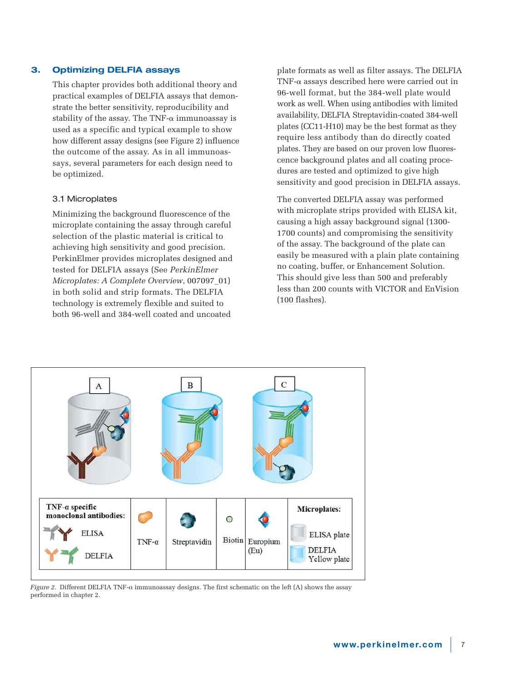# **3. Optimizing DELFIA assays**

This chapter provides both additional theory and practical examples of DELFIA assays that demonstrate the better sensitivity, reproducibility and stability of the assay. The TNF- $\alpha$  immunoassay is used as a specific and typical example to show how different assay designs (see Figure 2) influence the outcome of the assay. As in all immunoassays, several parameters for each design need to be optimized.

#### 3.1 Microplates

Minimizing the background fluorescence of the microplate containing the assay through careful selection of the plastic material is critical to achieving high sensitivity and good precision. PerkinElmer provides microplates designed and tested for DELFIA assays (See *PerkinElmer Microplates: A Complete Overview*, 007097\_01) in both solid and strip formats. The DELFIA technology is extremely flexible and suited to both 96-well and 384-well coated and uncoated

plate formats as well as filter assays. The DELFIA  $TNF$ - $\alpha$  assays described here were carried out in 96-well format, but the 384-well plate would work as well. When using antibodies with limited availability, DELFIA Streptavidin-coated 384-well plates (CC11-H10) may be the best format as they require less antibody than do directly coated plates. They are based on our proven low fluorescence background plates and all coating procedures are tested and optimized to give high sensitivity and good precision in DELFIA assays.

The converted DELFIA assay was performed with microplate strips provided with ELISA kit, causing a high assay background signal (1300- 1700 counts) and compromising the sensitivity of the assay. The background of the plate can easily be measured with a plain plate containing no coating, buffer, or Enhancement Solution. This should give less than 500 and preferably less than 200 counts with VICTOR and EnVision (100 flashes).



*Figure 2*. Different DELFIA TNF-α immunoassay designs. The first schematic on the left (A) shows the assay performed in chapter 2.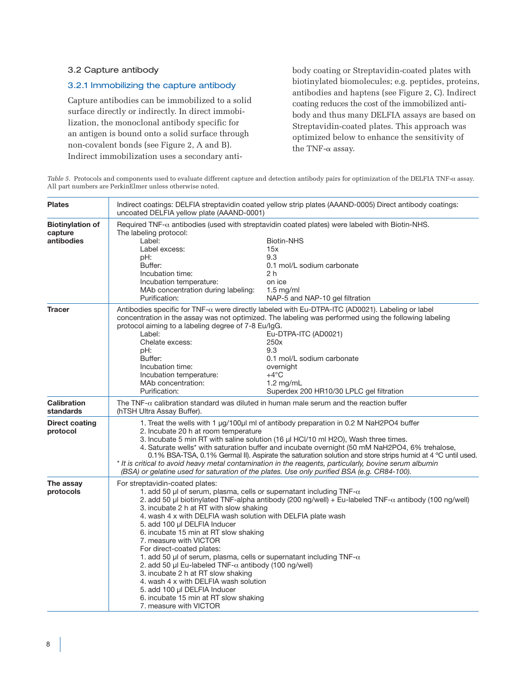# 3.2 Capture antibody

# 3.2.1 Immobilizing the capture antibody

Capture antibodies can be immobilized to a solid surface directly or indirectly. In direct immobilization, the monoclonal antibody specific for an antigen is bound onto a solid surface through non-covalent bonds (see Figure 2, A and B). Indirect immobilization uses a secondary antibody coating or Streptavidin-coated plates with biotinylated biomolecules; e.g. peptides, proteins, antibodies and haptens (see Figure 2, C). Indirect coating reduces the cost of the immobilized antibody and thus many DELFIA assays are based on Streptavidin-coated plates. This approach was optimized below to enhance the sensitivity of the TNF- $\alpha$  assay.

*Table 5*. Protocols and components used to evaluate different capture and detection antibody pairs for optimization of the DELFIA TNF-α assay. All part numbers are PerkinElmer unless otherwise noted.

| <b>Plates</b>                                    | Indirect coatings: DELFIA streptavidin coated yellow strip plates (AAAND-0005) Direct antibody coatings:<br>uncoated DELFIA yellow plate (AAAND-0001)                                                                                                                                                                                                                                                                                                                                                                                                                                                                                                                                      |                                                                                                                                                                                                                                                                                                                                                                                                                                                                                                                                                                                                                  |  |  |  |  |
|--------------------------------------------------|--------------------------------------------------------------------------------------------------------------------------------------------------------------------------------------------------------------------------------------------------------------------------------------------------------------------------------------------------------------------------------------------------------------------------------------------------------------------------------------------------------------------------------------------------------------------------------------------------------------------------------------------------------------------------------------------|------------------------------------------------------------------------------------------------------------------------------------------------------------------------------------------------------------------------------------------------------------------------------------------------------------------------------------------------------------------------------------------------------------------------------------------------------------------------------------------------------------------------------------------------------------------------------------------------------------------|--|--|--|--|
| <b>Biotinylation of</b><br>capture<br>antibodies | The labeling protocol:<br>Label:<br>Label excess:<br>pH:<br>Buffer:<br>Incubation time:<br>Incubation temperature:<br>MAb concentration during labeling:<br>Purification:                                                                                                                                                                                                                                                                                                                                                                                                                                                                                                                  | Required $TNF-\alpha$ antibodies (used with streptavidin coated plates) were labeled with Biotin-NHS.<br><b>Biotin-NHS</b><br>15x<br>9.3<br>0.1 mol/L sodium carbonate<br>2 h<br>on ice<br>$1.5 \text{ mg/ml}$<br>NAP-5 and NAP-10 gel filtration                                                                                                                                                                                                                                                                                                                                                                |  |  |  |  |
| <b>Tracer</b>                                    | protocol aiming to a labeling degree of 7-8 Eu/lgG.<br>Label:<br>Chelate excess:<br>pH:<br>Buffer:<br>Incubation time:<br>Incubation temperature:<br>MAb concentration:<br>Purification:                                                                                                                                                                                                                                                                                                                                                                                                                                                                                                   | Antibodies specific for TNF- $\alpha$ were directly labeled with Eu-DTPA-ITC (AD0021). Labeling or label<br>concentration in the assay was not optimized. The labeling was performed using the following labeling<br>Eu-DTPA-ITC (AD0021)<br>250x<br>9.3<br>0.1 mol/L sodium carbonate<br>overnight<br>$+4^{\circ}C$<br>$1.2 \text{ mg/mL}$<br>Superdex 200 HR10/30 LPLC gel filtration                                                                                                                                                                                                                          |  |  |  |  |
| <b>Calibration</b><br>standards                  | (hTSH Ultra Assay Buffer).                                                                                                                                                                                                                                                                                                                                                                                                                                                                                                                                                                                                                                                                 | The TNF- $\alpha$ calibration standard was diluted in human male serum and the reaction buffer                                                                                                                                                                                                                                                                                                                                                                                                                                                                                                                   |  |  |  |  |
| Direct coating<br>protocol                       | 2. Incubate 20 h at room temperature                                                                                                                                                                                                                                                                                                                                                                                                                                                                                                                                                                                                                                                       | 1. Treat the wells with 1 $\mu$ g/100 $\mu$ l ml of antibody preparation in 0.2 M NaH2PO4 buffer<br>3. Incubate 5 min RT with saline solution (16 µl HCl/10 ml H2O), Wash three times.<br>4. Saturate wells* with saturation buffer and incubate overnight (50 mM NaH2PO4, 6% trehalose,<br>0.1% BSA-TSA, 0.1% Germal II). Aspirate the saturation solution and store strips humid at 4 °C until used.<br>* It is critical to avoid heavy metal contamination in the reagents, particularly, bovine serum albumin<br>(BSA) or gelatine used for saturation of the plates. Use only purified BSA (e.g. CR84-100). |  |  |  |  |
| The assay<br>protocols                           | For streptavidin-coated plates:<br>1. add 50 µl of serum, plasma, cells or supernatant including TNF- $\alpha$<br>3. incubate 2 h at RT with slow shaking<br>4. wash 4 x with DELFIA wash solution with DELFIA plate wash<br>5. add 100 µl DELFIA Inducer<br>6. incubate 15 min at RT slow shaking<br>7. measure with VICTOR<br>For direct-coated plates:<br>1. add 50 µl of serum, plasma, cells or supernatant including TNF- $\alpha$<br>2. add 50 µl Eu-labeled TNF- $\alpha$ antibody (100 ng/well)<br>3. incubate 2 h at RT slow shaking<br>4. wash 4 x with DELFIA wash solution<br>5. add 100 µl DELFIA Inducer<br>6. incubate 15 min at RT slow shaking<br>7. measure with VICTOR | 2. add 50 µl biotinylated TNF-alpha antibody (200 ng/well) + Eu-labeled TNF- $\alpha$ antibody (100 ng/well)                                                                                                                                                                                                                                                                                                                                                                                                                                                                                                     |  |  |  |  |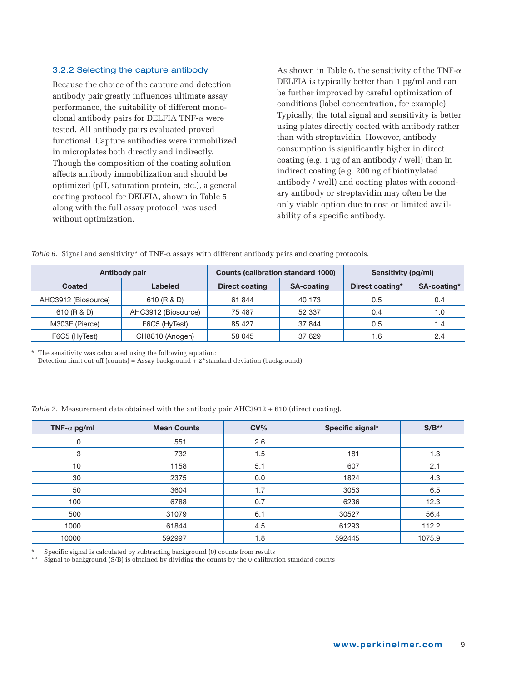### 3.2.2 Selecting the capture antibody

Because the choice of the capture and detection antibody pair greatly influences ultimate assay performance, the suitability of different monoclonal antibody pairs for DELFIA TNF- $\alpha$  were tested. All antibody pairs evaluated proved functional. Capture antibodies were immobilized in microplates both directly and indirectly. Though the composition of the coating solution affects antibody immobilization and should be optimized (pH, saturation protein, etc.), a general coating protocol for DELFIA, shown in Table 5 along with the full assay protocol, was used without optimization.

As shown in Table 6, the sensitivity of the TNF- $\alpha$ DELFIA is typically better than 1 pg/ml and can be further improved by careful optimization of conditions (label concentration, for example). Typically, the total signal and sensitivity is better using plates directly coated with antibody rather than with streptavidin. However, antibody consumption is significantly higher in direct coating (e.g. 1 µg of an antibody / well) than in indirect coating (e.g. 200 ng of biotinylated antibody / well) and coating plates with secondary antibody or streptavidin may often be the only viable option due to cost or limited availability of a specific antibody.

| Antibody pair |                     |                     | <b>Counts (calibration standard 1000)</b> |                   | Sensitivity (pg/ml) |             |
|---------------|---------------------|---------------------|-------------------------------------------|-------------------|---------------------|-------------|
|               | Coated              | Labeled             | <b>Direct coating</b>                     | <b>SA-coating</b> | Direct coating*     | SA-coating* |
|               | AHC3912 (Biosource) | 610 (R & D)         | 61 844                                    | 40 173            | 0.5                 | 0.4         |
|               | 610 (R & D)         | AHC3912 (Biosource) | 75 487                                    | 52 337            | 0.4                 | 1.0         |
|               | M303E (Pierce)      | F6C5 (HyTest)       | 85 427                                    | 37 844            | 0.5                 | 1.4         |
|               | F6C5 (HyTest)       | CH8810 (Anogen)     | 58 045                                    | 37 629            | 1.6                 | 2.4         |

*Table 6.* Signal and sensitivity\* of TNF- $\alpha$  assays with different antibody pairs and coating protocols.

\* The sensitivity was calculated using the following equation:

Detection limit cut-off (counts) = Assay background +  $2*$ standard deviation (background)

*Table 7*. Measurement data obtained with the antibody pair AHC3912 + 610 (direct coating).

| TNF- $\alpha$ pg/ml | <b>Mean Counts</b> | $CV\%$ | Specific signal* | $S/B***$ |
|---------------------|--------------------|--------|------------------|----------|
| 0                   | 551                | 2.6    |                  |          |
| 3                   | 732                | 1.5    | 181              | 1.3      |
| 10                  | 1158               | 5.1    | 607              | 2.1      |
| 30                  | 2375               | 0.0    | 1824             | 4.3      |
| 50                  | 3604               | 1.7    | 3053             | 6.5      |
| 100                 | 6788               | 0.7    | 6236             | 12.3     |
| 500                 | 31079              | 6.1    | 30527            | 56.4     |
| 1000                | 61844              | 4.5    | 61293            | 112.2    |
| 10000               | 592997             | 1.8    | 592445           | 1075.9   |

Specific signal is calculated by subtracting background (0) counts from results

Signal to background (S/B) is obtained by dividing the counts by the 0-calibration standard counts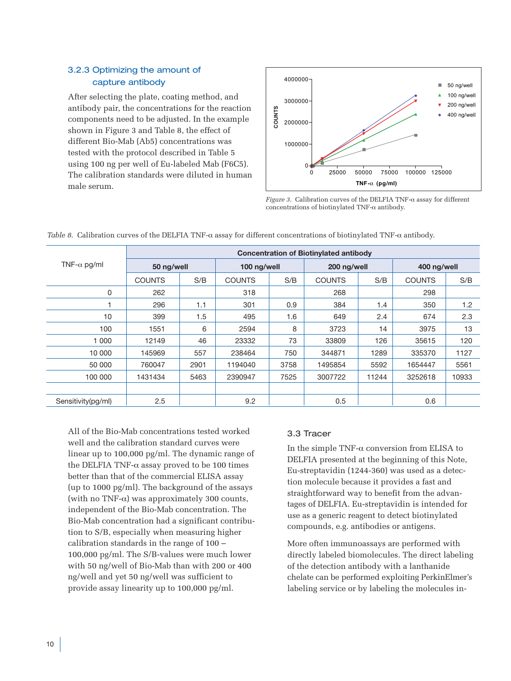# 3.2.3 Optimizing the amount of capture antibody

After selecting the plate, coating method, and antibody pair, the concentrations for the reaction components need to be adjusted. In the example shown in Figure 3 and Table 8, the effect of different Bio-Mab (Ab5) concentrations was tested with the protocol described in Table 5 using 100 ng per well of Eu-labeled Mab (F6C5). The calibration standards were diluted in human male serum.



*Figure 3*. Calibration curves of the DELFIA TNF-α assay for different concentrations of biotinylated TNF-α antibody.

|                     | <b>Concentration of Biotinylated antibody</b> |      |               |      |               |       |               |       |  |  |
|---------------------|-----------------------------------------------|------|---------------|------|---------------|-------|---------------|-------|--|--|
| TNF- $\alpha$ pg/ml | 50 ng/well                                    |      | 100 ng/well   |      | 200 ng/well   |       | 400 ng/well   |       |  |  |
|                     | <b>COUNTS</b>                                 | S/B  | <b>COUNTS</b> | S/B  | <b>COUNTS</b> | S/B   | <b>COUNTS</b> | S/B   |  |  |
| 0                   | 262                                           |      | 318           |      | 268           |       | 298           |       |  |  |
|                     | 296                                           | 1.1  | 301           | 0.9  | 384           | 1.4   | 350           | 1.2   |  |  |
| 10                  | 399                                           | 1.5  | 495           | 1.6  | 649           | 2.4   | 674           | 2.3   |  |  |
| 100                 | 1551                                          | 6    | 2594          | 8    | 3723          | 14    | 3975          | 13    |  |  |
| 1 000               | 12149                                         | 46   | 23332         | 73   | 33809         | 126   | 35615         | 120   |  |  |
| 10 000              | 145969                                        | 557  | 238464        | 750  | 344871        | 1289  | 335370        | 1127  |  |  |
| 50 000              | 760047                                        | 2901 | 1194040       | 3758 | 1495854       | 5592  | 1654447       | 5561  |  |  |
| 100 000             | 1431434                                       | 5463 | 2390947       | 7525 | 3007722       | 11244 | 3252618       | 10933 |  |  |
|                     |                                               |      |               |      |               |       |               |       |  |  |
| Sensitivity(pg/ml)  | $2.5\,$                                       |      | 9.2           |      | 0.5           |       | 0.6           |       |  |  |

*Table 8*. Calibration curves of the DELFIA TNF-α assay for different concentrations of biotinylated TNF-α antibody.

All of the Bio-Mab concentrations tested worked well and the calibration standard curves were linear up to 100,000 pg/ml. The dynamic range of the DELFIA TNF- $α$  assay proved to be 100 times better than that of the commercial ELISA assay (up to 1000 pg/ml). The background of the assays (with no TNF- $\alpha$ ) was approximately 300 counts, independent of the Bio-Mab concentration. The Bio-Mab concentration had a significant contribution to S/B, especially when measuring higher calibration standards in the range of 100 – 100,000 pg/ml. The S/B-values were much lower with 50 ng/well of Bio-Mab than with 200 or 400 ng/well and yet 50 ng/well was sufficient to provide assay linearity up to 100,000 pg/ml.

# 3.3 Tracer

In the simple TNF- $\alpha$  conversion from ELISA to DELFIA presented at the beginning of this Note, Eu-streptavidin (1244-360) was used as a detection molecule because it provides a fast and straightforward way to benefit from the advantages of DELFIA. Eu-streptavidin is intended for use as a generic reagent to detect biotinylated compounds, e.g. antibodies or antigens.

More often immunoassays are performed with directly labeled biomolecules. The direct labeling of the detection antibody with a lanthanide chelate can be performed exploiting PerkinElmer's labeling service or by labeling the molecules in-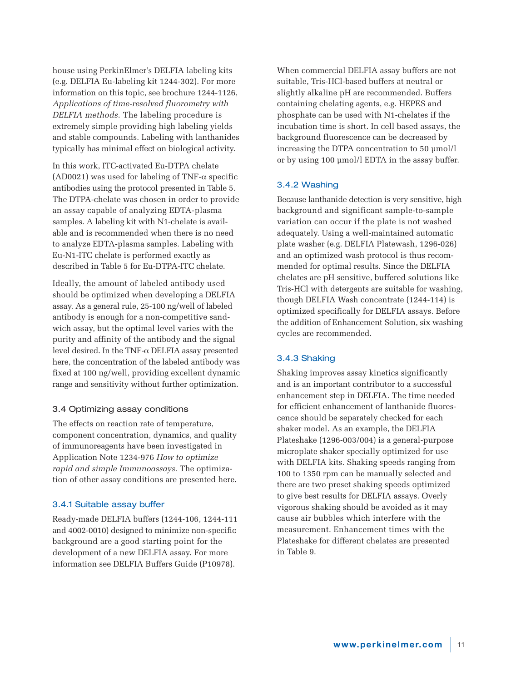house using PerkinElmer's DELFIA labeling kits (e.g. DELFIA Eu-labeling kit 1244-302). For more information on this topic, see brochure 1244-1126, *Applications of time-resolved fluorometry with DELFIA methods*. The labeling procedure is extremely simple providing high labeling yields and stable compounds. Labeling with lanthanides typically has minimal effect on biological activity.

In this work, ITC-activated Eu-DTPA chelate (AD0021) was used for labeling of TNF- $\alpha$  specific antibodies using the protocol presented in Table 5. The DTPA-chelate was chosen in order to provide an assay capable of analyzing EDTA-plasma samples. A labeling kit with N1-chelate is available and is recommended when there is no need to analyze EDTA-plasma samples. Labeling with Eu-N1-ITC chelate is performed exactly as described in Table 5 for Eu-DTPA-ITC chelate.

Ideally, the amount of labeled antibody used should be optimized when developing a DELFIA assay. As a general rule, 25-100 ng/well of labeled antibody is enough for a non-competitive sandwich assay, but the optimal level varies with the purity and affinity of the antibody and the signal level desired. In the TNF- $\alpha$  DELFIA assay presented here, the concentration of the labeled antibody was fixed at 100 ng/well, providing excellent dynamic range and sensitivity without further optimization.

# 3.4 Optimizing assay conditions

The effects on reaction rate of temperature, component concentration, dynamics, and quality of immunoreagents have been investigated in Application Note 1234-976 *How to optimize rapid and simple Immunoassays*. The optimization of other assay conditions are presented here.

#### 3.4.1 Suitable assay buffer

Ready-made DELFIA buffers (1244-106, 1244-111 and 4002-0010) designed to minimize non-specific background are a good starting point for the development of a new DELFIA assay. For more information see DELFIA Buffers Guide (P10978).

When commercial DELFIA assay buffers are not suitable, Tris-HCl-based buffers at neutral or slightly alkaline pH are recommended. Buffers containing chelating agents, e.g. HEPES and phosphate can be used with N1-chelates if the incubation time is short. In cell based assays, the background fluorescence can be decreased by increasing the DTPA concentration to 50 µmol/l or by using 100 µmol/l EDTA in the assay buffer.

#### 3.4.2 Washing

Because lanthanide detection is very sensitive, high background and significant sample-to-sample variation can occur if the plate is not washed adequately. Using a well-maintained automatic plate washer (e.g. DELFIA Platewash, 1296-026) and an optimized wash protocol is thus recommended for optimal results. Since the DELFIA chelates are pH sensitive, buffered solutions like Tris-HCl with detergents are suitable for washing, though DELFIA Wash concentrate (1244-114) is optimized specifically for DELFIA assays. Before the addition of Enhancement Solution, six washing cycles are recommended.

#### 3.4.3 Shaking

Shaking improves assay kinetics significantly and is an important contributor to a successful enhancement step in DELFIA. The time needed for efficient enhancement of lanthanide fluorescence should be separately checked for each shaker model. As an example, the DELFIA Plateshake (1296-003/004) is a general-purpose microplate shaker specially optimized for use with DELFIA kits. Shaking speeds ranging from 100 to 1350 rpm can be manually selected and there are two preset shaking speeds optimized to give best results for DELFIA assays. Overly vigorous shaking should be avoided as it may cause air bubbles which interfere with the measurement. Enhancement times with the Plateshake for different chelates are presented in Table 9.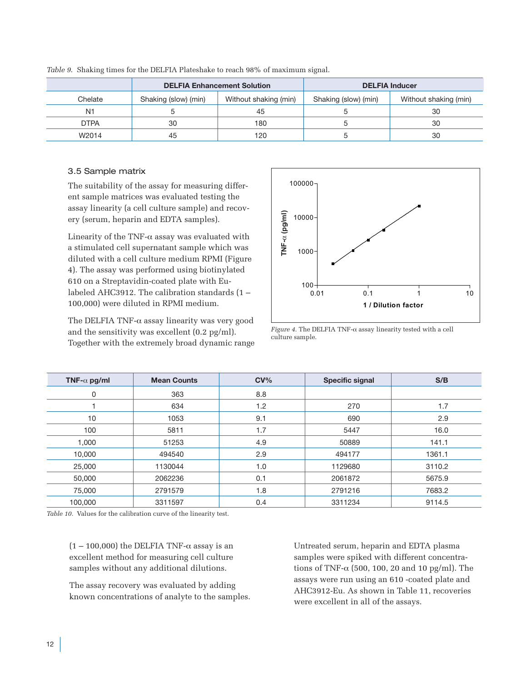|                |                      | <b>DELFIA Enhancement Solution</b> |                      | <b>DELFIA Inducer</b> |
|----------------|----------------------|------------------------------------|----------------------|-----------------------|
| Chelate        | Shaking (slow) (min) | Without shaking (min)              | Shaking (slow) (min) | Without shaking (min) |
| N <sub>1</sub> |                      | 45                                 |                      | 30                    |
| <b>DTPA</b>    | 30                   | 180                                |                      | 30                    |
| W2014          | 45                   | 120                                |                      | 30                    |

*Table 9*. Shaking times for the DELFIA Plateshake to reach 98% of maximum signal.

## 3.5 Sample matrix

The suitability of the assay for measuring different sample matrices was evaluated testing the assay linearity (a cell culture sample) and recovery (serum, heparin and EDTA samples).

Linearity of the TNF- $\alpha$  assay was evaluated with a stimulated cell supernatant sample which was diluted with a cell culture medium RPMI (Figure 4). The assay was performed using biotinylated 610 on a Streptavidin-coated plate with Eulabeled AHC3912. The calibration standards (1 – 100,000) were diluted in RPMI medium.

The DELFIA TNF-α assay linearity was very good and the sensitivity was excellent (0.2 pg/ml). Together with the extremely broad dynamic range



*Figure 4.* The DELFIA TNF- $\alpha$  assay linearity tested with a cell culture sample.

| TNF- $\alpha$ pg/ml | <b>Mean Counts</b> | $CV\%$ | <b>Specific signal</b> | S/B    |
|---------------------|--------------------|--------|------------------------|--------|
| 0                   | 363                | 8.8    |                        |        |
|                     | 634                | 1.2    | 270                    | 1.7    |
| 10                  | 1053               | 9.1    | 690                    | 2.9    |
| 100                 | 5811               | 1.7    | 5447                   | 16.0   |
| 1,000               | 51253              | 4.9    | 50889                  | 141.1  |
| 10,000              | 494540             | 2.9    | 494177                 | 1361.1 |
| 25,000              | 1130044            | 1.0    | 1129680                | 3110.2 |
| 50,000              | 2062236            | 0.1    | 2061872                | 5675.9 |
| 75,000              | 2791579            | 1.8    | 2791216                | 7683.2 |
| 100,000             | 3311597            | 0.4    | 3311234                | 9114.5 |

*Table 10.* Values for the calibration curve of the linearity test.

 $(1 - 100,000)$  the DELFIA TNF- $\alpha$  assay is an excellent method for measuring cell culture samples without any additional dilutions.

The assay recovery was evaluated by adding known concentrations of analyte to the samples.

Untreated serum, heparin and EDTA plasma samples were spiked with different concentrations of TNF- $\alpha$  (500, 100, 20 and 10 pg/ml). The assays were run using an 610 -coated plate and AHC3912-Eu. As shown in Table 11, recoveries were excellent in all of the assays.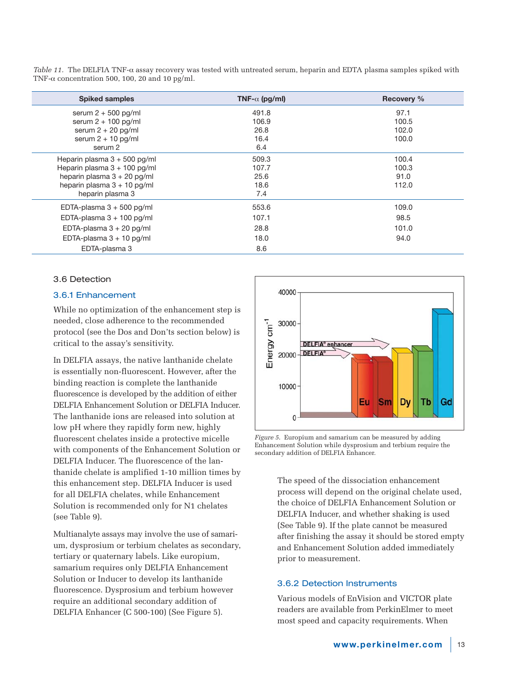*Table 11.* The DELFIA TNF-α assay recovery was tested with untreated serum, heparin and EDTA plasma samples spiked with TNF- $\alpha$  concentration 500, 100, 20 and 10 pg/ml.

| <b>Spiked samples</b>         | TNF- $\alpha$ (pg/ml) | <b>Recovery %</b> |
|-------------------------------|-----------------------|-------------------|
| serum $2 + 500$ pg/ml         | 491.8                 | 97.1              |
| serum $2 + 100$ pg/ml         | 106.9                 | 100.5             |
| serum $2 + 20$ pg/ml          | 26.8                  | 102.0             |
| serum $2 + 10$ pg/ml          | 16.4                  | 100.0             |
| serum 2                       | 6.4                   |                   |
| Heparin plasma 3 + 500 pg/ml  | 509.3                 | 100.4             |
| Heparin plasma 3 + 100 pg/ml  | 107.7                 | 100.3             |
| heparin plasma 3 + 20 pg/ml   | 25.6                  | 91.0              |
| heparin plasma $3 + 10$ pg/ml | 18.6                  | 112.0             |
| heparin plasma 3              | 7.4                   |                   |
| EDTA-plasma $3 + 500$ pg/ml   | 553.6                 | 109.0             |
| EDTA-plasma $3 + 100$ pg/ml   | 107.1                 | 98.5              |
| EDTA-plasma $3 + 20$ pg/ml    | 28.8                  | 101.0             |
| EDTA-plasma $3 + 10$ pg/ml    | 18.0                  | 94.0              |
| EDTA-plasma 3                 | 8.6                   |                   |

## 3.6 Detection

#### 3.6.1 Enhancement

While no optimization of the enhancement step is needed, close adherence to the recommended protocol (see the Dos and Don'ts section below) is critical to the assay's sensitivity.

In DELFIA assays, the native lanthanide chelate is essentially non-fluorescent. However, after the binding reaction is complete the lanthanide fluorescence is developed by the addition of either DELFIA Enhancement Solution or DELFIA Inducer. The lanthanide ions are released into solution at low pH where they rapidly form new, highly fluorescent chelates inside a protective micelle with components of the Enhancement Solution or DELFIA Inducer. The fluorescence of the lanthanide chelate is amplified 1-10 million times by this enhancement step. DELFIA Inducer is used for all DELFIA chelates, while Enhancement Solution is recommended only for N1 chelates (see Table 9).

Multianalyte assays may involve the use of samarium, dysprosium or terbium chelates as secondary, tertiary or quaternary labels. Like europium, samarium requires only DELFIA Enhancement Solution or Inducer to develop its lanthanide fluorescence. Dysprosium and terbium however require an additional secondary addition of DELFIA Enhancer (C 500-100) (See Figure 5).



*Figure 5*. Europium and samarium can be measured by adding Enhancement Solution while dysprosium and terbium require the secondary addition of DELFIA Enhancer.

The speed of the dissociation enhancement process will depend on the original chelate used, the choice of DELFIA Enhancement Solution or DELFIA Inducer, and whether shaking is used (See Table 9). If the plate cannot be measured after finishing the assay it should be stored empty and Enhancement Solution added immediately prior to measurement.

#### 3.6.2 Detection Instruments

Various models of EnVision and VICTOR plate readers are available from PerkinElmer to meet most speed and capacity requirements. When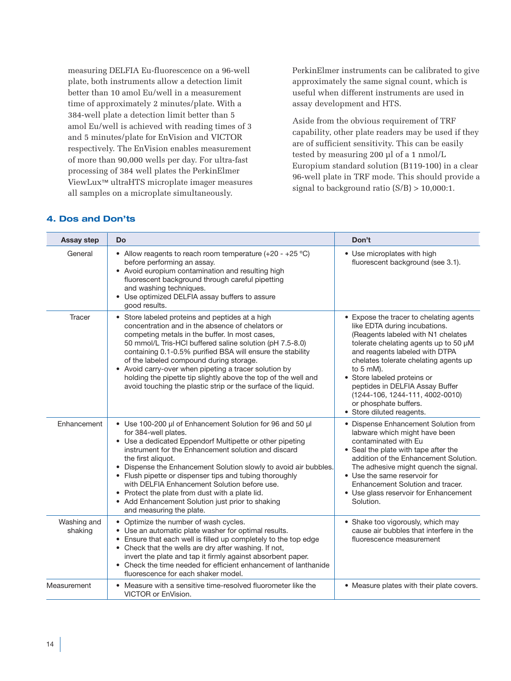measuring DELFIA Eu-fluorescence on a 96-well plate, both instruments allow a detection limit better than 10 amol Eu/well in a measurement time of approximately 2 minutes/plate. With a 384-well plate a detection limit better than 5 amol Eu/well is achieved with reading times of 3 and 5 minutes/plate for EnVision and VICTOR respectively. The EnVision enables measurement of more than 90,000 wells per day. For ultra-fast processing of 384 well plates the PerkinElmer ViewLux™ ultraHTS microplate imager measures all samples on a microplate simultaneously.

PerkinElmer instruments can be calibrated to give approximately the same signal count, which is useful when different instruments are used in assay development and HTS.

Aside from the obvious requirement of TRF capability, other plate readers may be used if they are of sufficient sensitivity. This can be easily tested by measuring 200 µl of a 1 nmol/L Europium standard solution (B119-100) in a clear 96-well plate in TRF mode. This should provide a signal to background ratio  $(S/B) > 10,000:1$ .

# **4. Dos and Don'ts**

| Assay step             | <b>Do</b>                                                                                                                                                                                                                                                                                                                                                                                                                                                                                                                                    | Don't                                                                                                                                                                                                                                                                                                                                                                                                                 |
|------------------------|----------------------------------------------------------------------------------------------------------------------------------------------------------------------------------------------------------------------------------------------------------------------------------------------------------------------------------------------------------------------------------------------------------------------------------------------------------------------------------------------------------------------------------------------|-----------------------------------------------------------------------------------------------------------------------------------------------------------------------------------------------------------------------------------------------------------------------------------------------------------------------------------------------------------------------------------------------------------------------|
| General                | • Allow reagents to reach room temperature $(+20 - +25 \degree C)$<br>before performing an assay.<br>• Avoid europium contamination and resulting high<br>fluorescent background through careful pipetting<br>and washing techniques.<br>• Use optimized DELFIA assay buffers to assure<br>good results.                                                                                                                                                                                                                                     | • Use microplates with high<br>fluorescent background (see 3.1).                                                                                                                                                                                                                                                                                                                                                      |
| Tracer                 | • Store labeled proteins and peptides at a high<br>concentration and in the absence of chelators or<br>competing metals in the buffer. In most cases.<br>50 mmol/L Tris-HCI buffered saline solution (pH 7.5-8.0)<br>containing 0.1-0.5% purified BSA will ensure the stability<br>of the labeled compound during storage.<br>• Avoid carry-over when pipeting a tracer solution by<br>holding the pipette tip slightly above the top of the well and<br>avoid touching the plastic strip or the surface of the liquid.                      | • Expose the tracer to chelating agents<br>like EDTA during incubations.<br>(Reagents labeled with N1 chelates<br>tolerate chelating agents up to 50 µM<br>and reagents labeled with DTPA<br>chelates tolerate chelating agents up<br>to $5 \text{ mM}$ ).<br>• Store labeled proteins or<br>peptides in DELFIA Assay Buffer<br>(1244-106, 1244-111, 4002-0010)<br>or phosphate buffers.<br>• Store diluted reagents. |
| Enhancement            | • Use 100-200 µl of Enhancement Solution for 96 and 50 µl<br>for 384-well plates.<br>• Use a dedicated Eppendorf Multipette or other pipeting<br>instrument for the Enhancement solution and discard<br>the first aliquot.<br>• Dispense the Enhancement Solution slowly to avoid air bubbles.<br>• Flush pipette or dispenser tips and tubing thoroughly<br>with DELFIA Enhancement Solution before use.<br>• Protect the plate from dust with a plate lid.<br>• Add Enhancement Solution just prior to shaking<br>and measuring the plate. | • Dispense Enhancement Solution from<br>labware which might have been<br>contaminated with Eu<br>• Seal the plate with tape after the<br>addition of the Enhancement Solution.<br>The adhesive might quench the signal.<br>• Use the same reservoir for<br>Enhancement Solution and tracer.<br>• Use glass reservoir for Enhancement<br>Solution.                                                                     |
| Washing and<br>shaking | • Optimize the number of wash cycles.<br>• Use an automatic plate washer for optimal results.<br>• Ensure that each well is filled up completely to the top edge<br>• Check that the wells are dry after washing. If not,<br>invert the plate and tap it firmly against absorbent paper.<br>• Check the time needed for efficient enhancement of lanthanide<br>fluorescence for each shaker model.                                                                                                                                           | • Shake too vigorously, which may<br>cause air bubbles that interfere in the<br>fluorescence measurement                                                                                                                                                                                                                                                                                                              |
| Measurement            | • Measure with a sensitive time-resolved fluorometer like the<br>VICTOR or EnVision.                                                                                                                                                                                                                                                                                                                                                                                                                                                         | • Measure plates with their plate covers.                                                                                                                                                                                                                                                                                                                                                                             |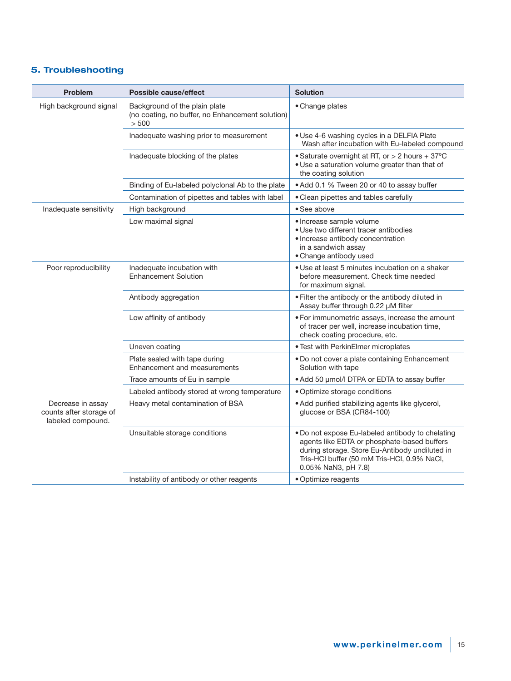# **5. Troubleshooting**

| <b>Problem</b>                                                    | <b>Possible cause/effect</b>                                                               | <b>Solution</b>                                                                                                                                                                                                         |
|-------------------------------------------------------------------|--------------------------------------------------------------------------------------------|-------------------------------------------------------------------------------------------------------------------------------------------------------------------------------------------------------------------------|
| High background signal                                            | Background of the plain plate<br>(no coating, no buffer, no Enhancement solution)<br>> 500 | • Change plates                                                                                                                                                                                                         |
|                                                                   | Inadequate washing prior to measurement                                                    | · Use 4-6 washing cycles in a DELFIA Plate<br>Wash after incubation with Eu-labeled compound                                                                                                                            |
|                                                                   | Inadequate blocking of the plates                                                          | • Saturate overnight at RT, or > 2 hours + 37°C<br>. Use a saturation volume greater than that of<br>the coating solution                                                                                               |
|                                                                   | Binding of Eu-labeled polyclonal Ab to the plate                                           | • Add 0.1 % Tween 20 or 40 to assay buffer                                                                                                                                                                              |
|                                                                   | Contamination of pipettes and tables with label                                            | • Clean pipettes and tables carefully                                                                                                                                                                                   |
| Inadequate sensitivity                                            | High background                                                                            | • See above                                                                                                                                                                                                             |
|                                                                   | Low maximal signal                                                                         | · Increase sample volume<br>· Use two different tracer antibodies<br>· Increase antibody concentration<br>in a sandwich assay<br>• Change antibody used                                                                 |
| Poor reproducibility                                              | Inadequate incubation with<br><b>Enhancement Solution</b>                                  | · Use at least 5 minutes incubation on a shaker<br>before measurement. Check time needed<br>for maximum signal.                                                                                                         |
|                                                                   | Antibody aggregation                                                                       | . Filter the antibody or the antibody diluted in<br>Assay buffer through 0.22 µM filter                                                                                                                                 |
|                                                                   | Low affinity of antibody                                                                   | . For immunometric assays, increase the amount<br>of tracer per well, increase incubation time,<br>check coating procedure, etc.                                                                                        |
|                                                                   | Uneven coating                                                                             | • Test with PerkinElmer microplates                                                                                                                                                                                     |
|                                                                   | Plate sealed with tape during<br>Enhancement and measurements                              | . Do not cover a plate containing Enhancement<br>Solution with tape                                                                                                                                                     |
|                                                                   | Trace amounts of Eu in sample                                                              | . Add 50 µmol/l DTPA or EDTA to assay buffer                                                                                                                                                                            |
|                                                                   | Labeled antibody stored at wrong temperature                                               | · Optimize storage conditions                                                                                                                                                                                           |
| Decrease in assay<br>counts after storage of<br>labeled compound. | Heavy metal contamination of BSA                                                           | · Add purified stabilizing agents like glycerol,<br>glucose or BSA (CR84-100)                                                                                                                                           |
|                                                                   | Unsuitable storage conditions                                                              | . Do not expose Eu-labeled antibody to chelating<br>agents like EDTA or phosphate-based buffers<br>during storage. Store Eu-Antibody undiluted in<br>Tris-HCl buffer (50 mM Tris-HCl, 0.9% NaCl,<br>0.05% NaN3, pH 7.8) |
|                                                                   | Instability of antibody or other reagents                                                  | • Optimize reagents                                                                                                                                                                                                     |